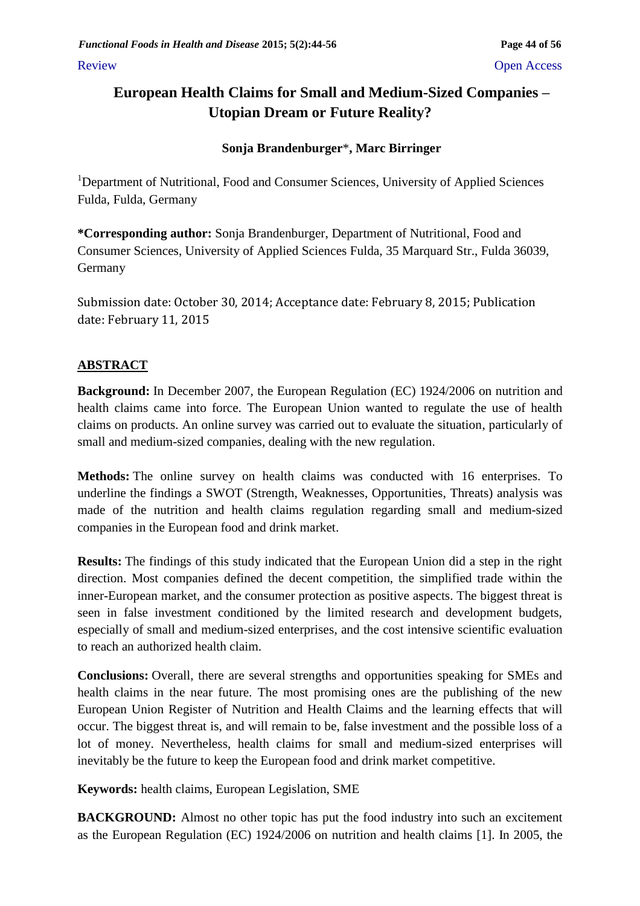Review Open Access of the Contract of the Contract of the Contract of the Contract of the Contract of the Contract of the Contract of the Contract of the Contract of the Contract of the Contract of the Contract of the Cont

# **European Health Claims for Small and Medium-Sized Companies – Utopian Dream or Future Reality?**

# **Sonja Brandenburger**\***, Marc Birringer**

<sup>1</sup>Department of Nutritional, Food and Consumer Sciences, University of Applied Sciences Fulda, Fulda, Germany

**\*Corresponding author:** Sonja Brandenburger, Department of Nutritional, Food and Consumer Sciences, University of Applied Sciences Fulda, 35 Marquard Str., Fulda 36039, Germany

Submission date: October 30, 2014; Acceptance date: February 8, 2015; Publication date: February 11, 2015

# **ABSTRACT**

**Background:** In December 2007, the European Regulation (EC) 1924/2006 on nutrition and health claims came into force. The European Union wanted to regulate the use of health claims on products. An online survey was carried out to evaluate the situation, particularly of small and medium-sized companies, dealing with the new regulation.

**Methods:** The online survey on health claims was conducted with 16 enterprises. To underline the findings a SWOT (Strength, Weaknesses, Opportunities, Threats) analysis was made of the nutrition and health claims regulation regarding small and medium-sized companies in the European food and drink market.

**Results:** The findings of this study indicated that the European Union did a step in the right direction. Most companies defined the decent competition, the simplified trade within the inner-European market, and the consumer protection as positive aspects. The biggest threat is seen in false investment conditioned by the limited research and development budgets, especially of small and medium-sized enterprises, and the cost intensive scientific evaluation to reach an authorized health claim.

**Conclusions:** Overall, there are several strengths and opportunities speaking for SMEs and health claims in the near future. The most promising ones are the publishing of the new European Union Register of Nutrition and Health Claims and the learning effects that will occur. The biggest threat is, and will remain to be, false investment and the possible loss of a lot of money. Nevertheless, health claims for small and medium-sized enterprises will inevitably be the future to keep the European food and drink market competitive.

**Keywords:** health claims, European Legislation, SME

**BACKGROUND:** Almost no other topic has put the food industry into such an excitement as the European Regulation (EC) 1924/2006 on nutrition and health claims [1]. In 2005, the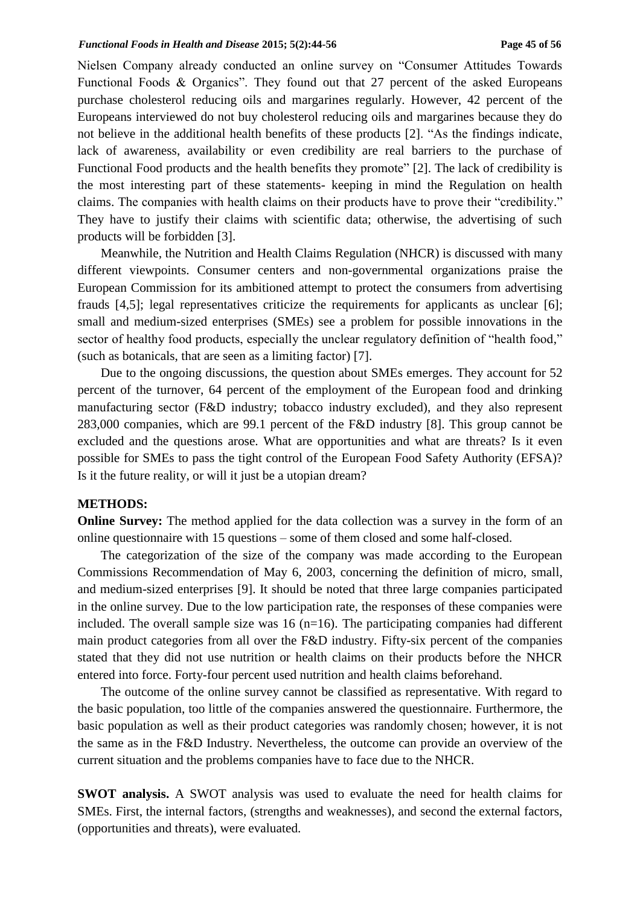Nielsen Company already conducted an online survey on "Consumer Attitudes Towards Functional Foods & Organics". They found out that 27 percent of the asked Europeans purchase cholesterol reducing oils and margarines regularly. However, 42 percent of the Europeans interviewed do not buy cholesterol reducing oils and margarines because they do not believe in the additional health benefits of these products [2]. "As the findings indicate, lack of awareness, availability or even credibility are real barriers to the purchase of Functional Food products and the health benefits they promote" [2]. The lack of credibility is the most interesting part of these statements- keeping in mind the Regulation on health claims. The companies with health claims on their products have to prove their "credibility." They have to justify their claims with scientific data; otherwise, the advertising of such products will be forbidden [3].

Meanwhile, the Nutrition and Health Claims Regulation (NHCR) is discussed with many different viewpoints. Consumer centers and non-governmental organizations praise the European Commission for its ambitioned attempt to protect the consumers from advertising frauds [4,5]; legal representatives criticize the requirements for applicants as unclear [6]; small and medium-sized enterprises (SMEs) see a problem for possible innovations in the sector of healthy food products, especially the unclear regulatory definition of "health food," (such as botanicals, that are seen as a limiting factor) [7].

Due to the ongoing discussions, the question about SMEs emerges. They account for 52 percent of the turnover, 64 percent of the employment of the European food and drinking manufacturing sector (F&D industry; tobacco industry excluded), and they also represent 283,000 companies, which are 99.1 percent of the F&D industry [8]. This group cannot be excluded and the questions arose. What are opportunities and what are threats? Is it even possible for SMEs to pass the tight control of the European Food Safety Authority (EFSA)? Is it the future reality, or will it just be a utopian dream?

### **METHODS:**

**Online Survey:** The method applied for the data collection was a survey in the form of an online questionnaire with 15 questions – some of them closed and some half-closed.

The categorization of the size of the company was made according to the European Commissions Recommendation of May 6, 2003, concerning the definition of micro, small, and medium-sized enterprises [9]. It should be noted that three large companies participated in the online survey. Due to the low participation rate, the responses of these companies were included. The overall sample size was  $16$  (n=16). The participating companies had different main product categories from all over the F&D industry. Fifty-six percent of the companies stated that they did not use nutrition or health claims on their products before the NHCR entered into force. Forty-four percent used nutrition and health claims beforehand.

The outcome of the online survey cannot be classified as representative. With regard to the basic population, too little of the companies answered the questionnaire. Furthermore, the basic population as well as their product categories was randomly chosen; however, it is not the same as in the F&D Industry. Nevertheless, the outcome can provide an overview of the current situation and the problems companies have to face due to the NHCR.

**SWOT analysis.** A SWOT analysis was used to evaluate the need for health claims for SMEs. First, the internal factors, (strengths and weaknesses), and second the external factors, (opportunities and threats), were evaluated.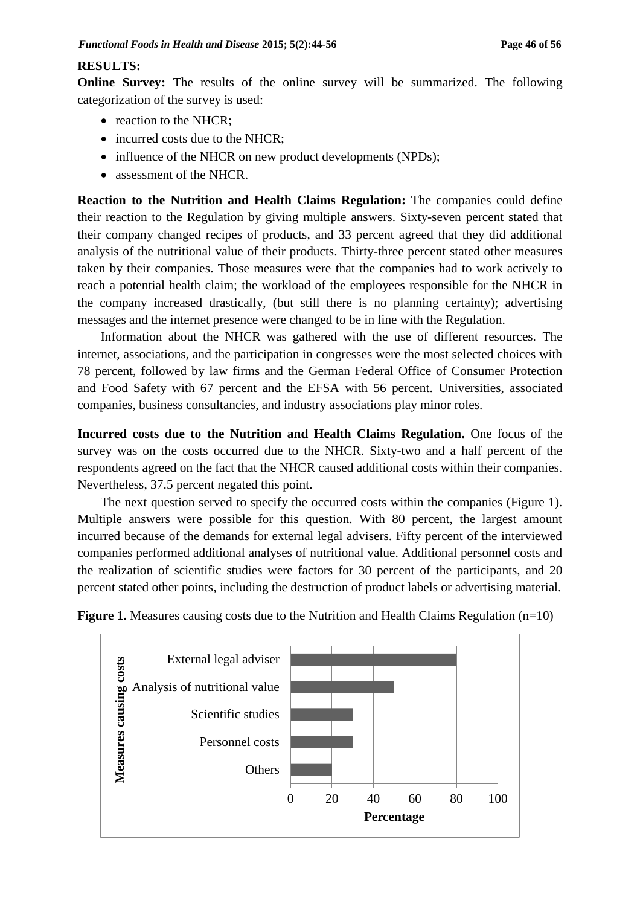# **RESULTS:**

**Online Survey:** The results of the online survey will be summarized. The following categorization of the survey is used:

- reaction to the NHCR;
- incurred costs due to the NHCR;
- influence of the NHCR on new product developments (NPDs);
- assessment of the NHCR.

**Reaction to the Nutrition and Health Claims Regulation:** The companies could define their reaction to the Regulation by giving multiple answers. Sixty-seven percent stated that their company changed recipes of products, and 33 percent agreed that they did additional analysis of the nutritional value of their products. Thirty-three percent stated other measures taken by their companies. Those measures were that the companies had to work actively to reach a potential health claim; the workload of the employees responsible for the NHCR in the company increased drastically, (but still there is no planning certainty); advertising messages and the internet presence were changed to be in line with the Regulation.

Information about the NHCR was gathered with the use of different resources. The internet, associations, and the participation in congresses were the most selected choices with 78 percent, followed by law firms and the German Federal Office of Consumer Protection and Food Safety with 67 percent and the EFSA with 56 percent. Universities, associated companies, business consultancies, and industry associations play minor roles.

**Incurred costs due to the Nutrition and Health Claims Regulation.** One focus of the survey was on the costs occurred due to the NHCR. Sixty-two and a half percent of the respondents agreed on the fact that the NHCR caused additional costs within their companies. Nevertheless, 37.5 percent negated this point.

The next question served to specify the occurred costs within the companies (Figure 1). Multiple answers were possible for this question. With 80 percent, the largest amount incurred because of the demands for external legal advisers. Fifty percent of the interviewed companies performed additional analyses of nutritional value. Additional personnel costs and the realization of scientific studies were factors for 30 percent of the participants, and 20 percent stated other points, including the destruction of product labels or advertising material.



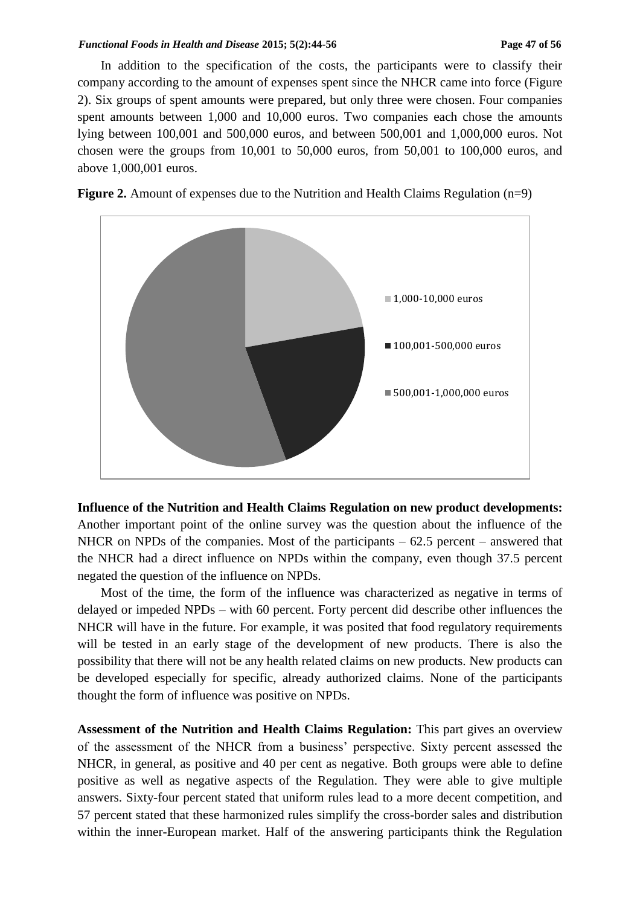### *Functional Foods in Health and Disease 2015; 5(2):44-56* Page 47 of 56

In addition to the specification of the costs, the participants were to classify their company according to the amount of expenses spent since the NHCR came into force (Figure 2). Six groups of spent amounts were prepared, but only three were chosen. Four companies spent amounts between 1,000 and 10,000 euros. Two companies each chose the amounts lying between 100,001 and 500,000 euros, and between 500,001 and 1,000,000 euros. Not chosen were the groups from 10,001 to 50,000 euros, from 50,001 to 100,000 euros, and above 1,000,001 euros.



**Figure 2.** Amount of expenses due to the Nutrition and Health Claims Regulation (n=9)

**Influence of the Nutrition and Health Claims Regulation on new product developments:** Another important point of the online survey was the question about the influence of the NHCR on NPDs of the companies. Most of the participants  $-62.5$  percent  $-$  answered that the NHCR had a direct influence on NPDs within the company, even though 37.5 percent negated the question of the influence on NPDs.

Most of the time, the form of the influence was characterized as negative in terms of delayed or impeded NPDs – with 60 percent. Forty percent did describe other influences the NHCR will have in the future. For example, it was posited that food regulatory requirements will be tested in an early stage of the development of new products. There is also the possibility that there will not be any health related claims on new products. New products can be developed especially for specific, already authorized claims. None of the participants thought the form of influence was positive on NPDs.

**Assessment of the Nutrition and Health Claims Regulation:** This part gives an overview of the assessment of the NHCR from a business' perspective. Sixty percent assessed the NHCR, in general, as positive and 40 per cent as negative. Both groups were able to define positive as well as negative aspects of the Regulation. They were able to give multiple answers. Sixty-four percent stated that uniform rules lead to a more decent competition, and 57 percent stated that these harmonized rules simplify the cross-border sales and distribution within the inner-European market. Half of the answering participants think the Regulation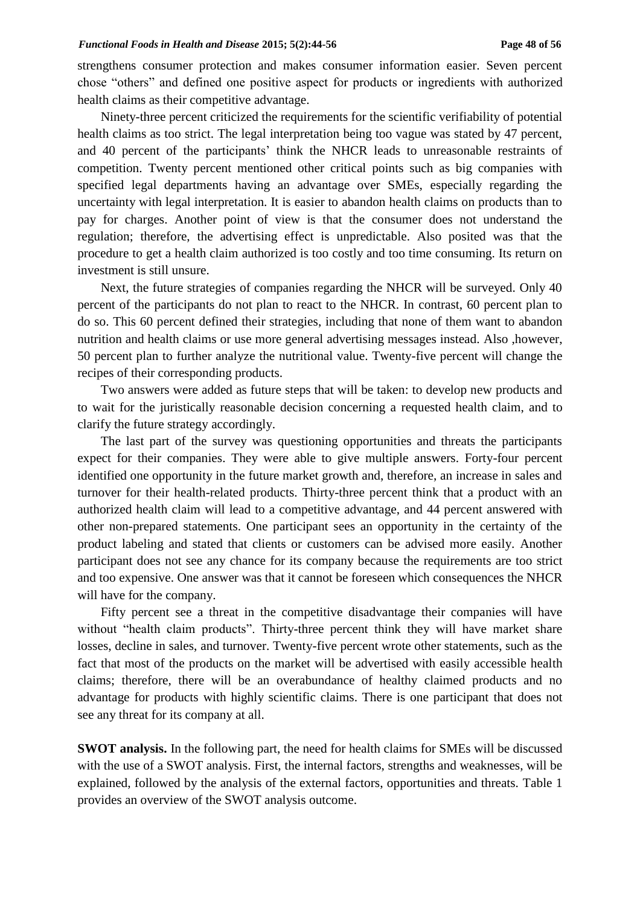strengthens consumer protection and makes consumer information easier. Seven percent chose "others" and defined one positive aspect for products or ingredients with authorized health claims as their competitive advantage.

Ninety-three percent criticized the requirements for the scientific verifiability of potential health claims as too strict. The legal interpretation being too vague was stated by 47 percent, and 40 percent of the participants' think the NHCR leads to unreasonable restraints of competition. Twenty percent mentioned other critical points such as big companies with specified legal departments having an advantage over SMEs, especially regarding the uncertainty with legal interpretation. It is easier to abandon health claims on products than to pay for charges. Another point of view is that the consumer does not understand the regulation; therefore, the advertising effect is unpredictable. Also posited was that the procedure to get a health claim authorized is too costly and too time consuming. Its return on investment is still unsure.

Next, the future strategies of companies regarding the NHCR will be surveyed. Only 40 percent of the participants do not plan to react to the NHCR. In contrast, 60 percent plan to do so. This 60 percent defined their strategies, including that none of them want to abandon nutrition and health claims or use more general advertising messages instead. Also ,however, 50 percent plan to further analyze the nutritional value. Twenty-five percent will change the recipes of their corresponding products.

Two answers were added as future steps that will be taken: to develop new products and to wait for the juristically reasonable decision concerning a requested health claim, and to clarify the future strategy accordingly.

The last part of the survey was questioning opportunities and threats the participants expect for their companies. They were able to give multiple answers. Forty-four percent identified one opportunity in the future market growth and, therefore, an increase in sales and turnover for their health-related products. Thirty-three percent think that a product with an authorized health claim will lead to a competitive advantage, and 44 percent answered with other non-prepared statements. One participant sees an opportunity in the certainty of the product labeling and stated that clients or customers can be advised more easily. Another participant does not see any chance for its company because the requirements are too strict and too expensive. One answer was that it cannot be foreseen which consequences the NHCR will have for the company.

Fifty percent see a threat in the competitive disadvantage their companies will have without "health claim products". Thirty-three percent think they will have market share losses, decline in sales, and turnover. Twenty-five percent wrote other statements, such as the fact that most of the products on the market will be advertised with easily accessible health claims; therefore, there will be an overabundance of healthy claimed products and no advantage for products with highly scientific claims. There is one participant that does not see any threat for its company at all.

**SWOT analysis.** In the following part, the need for health claims for SMEs will be discussed with the use of a SWOT analysis. First, the internal factors, strengths and weaknesses, will be explained, followed by the analysis of the external factors, opportunities and threats. Table 1 provides an overview of the SWOT analysis outcome.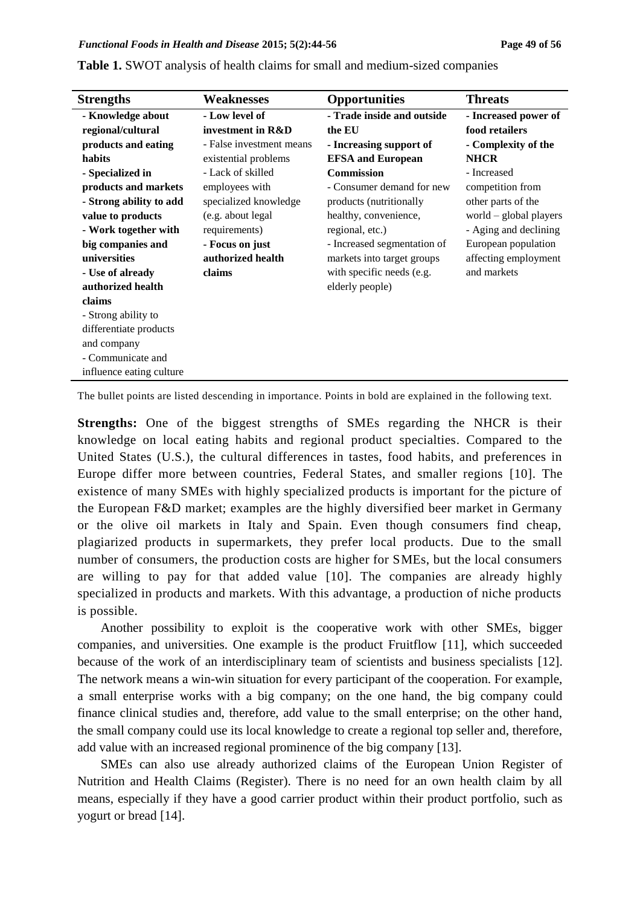| <b>Strengths</b>         | Weaknesses               | <b>Opportunities</b>        | <b>Threats</b>           |
|--------------------------|--------------------------|-----------------------------|--------------------------|
| - Knowledge about        | - Low level of           | - Trade inside and outside  | - Increased power of     |
| regional/cultural        | investment in R&D        | the EU                      | food retailers           |
| products and eating      | - False investment means | - Increasing support of     | - Complexity of the      |
| habits                   | existential problems     | <b>EFSA and European</b>    | <b>NHCR</b>              |
| - Specialized in         | - Lack of skilled        | <b>Commission</b>           | - Increased              |
| products and markets     | employees with           | - Consumer demand for new   | competition from         |
| - Strong ability to add  | specialized knowledge    | products (nutritionally     | other parts of the       |
| value to products        | (e.g. about legal        | healthy, convenience,       | world $-$ global players |
| - Work together with     | requirements)            | regional, etc.)             | - Aging and declining    |
| big companies and        | - Focus on just          | - Increased segmentation of | European population      |
| universities             | authorized health        | markets into target groups  | affecting employment     |
| - Use of already         | claims                   | with specific needs (e.g.   | and markets              |
| authorized health        |                          | elderly people)             |                          |
| claims                   |                          |                             |                          |
| - Strong ability to      |                          |                             |                          |
| differentiate products   |                          |                             |                          |
| and company              |                          |                             |                          |
| - Communicate and        |                          |                             |                          |
| influence eating culture |                          |                             |                          |

**Table 1.** SWOT analysis of health claims for small and medium-sized companies

The bullet points are listed descending in importance. Points in bold are explained in the following text.

**Strengths:** One of the biggest strengths of SMEs regarding the NHCR is their knowledge on local eating habits and regional product specialties. Compared to the United States (U.S.), the cultural differences in tastes, food habits, and preferences in Europe differ more between countries, Federal States, and smaller regions [10]. The existence of many SMEs with highly specialized products is important for the picture of the European F&D market; examples are the highly diversified beer market in Germany or the olive oil markets in Italy and Spain. Even though consumers find cheap, plagiarized products in supermarkets, they prefer local products. Due to the small number of consumers, the production costs are higher for SMEs, but the local consumers are willing to pay for that added value [10]. The companies are already highly specialized in products and markets. With this advantage, a production of niche products is possible.

Another possibility to exploit is the cooperative work with other SMEs, bigger companies, and universities. One example is the product Fruitflow [11], which succeeded because of the work of an interdisciplinary team of scientists and business specialists [12]. The network means a win-win situation for every participant of the cooperation. For example, a small enterprise works with a big company; on the one hand, the big company could finance clinical studies and, therefore, add value to the small enterprise; on the other hand, the small company could use its local knowledge to create a regional top seller and, therefore, add value with an increased regional prominence of the big company [13].

SMEs can also use already authorized claims of the European Union Register of Nutrition and Health Claims (Register). There is no need for an own health claim by all means, especially if they have a good carrier product within their product portfolio, such as yogurt or bread [14].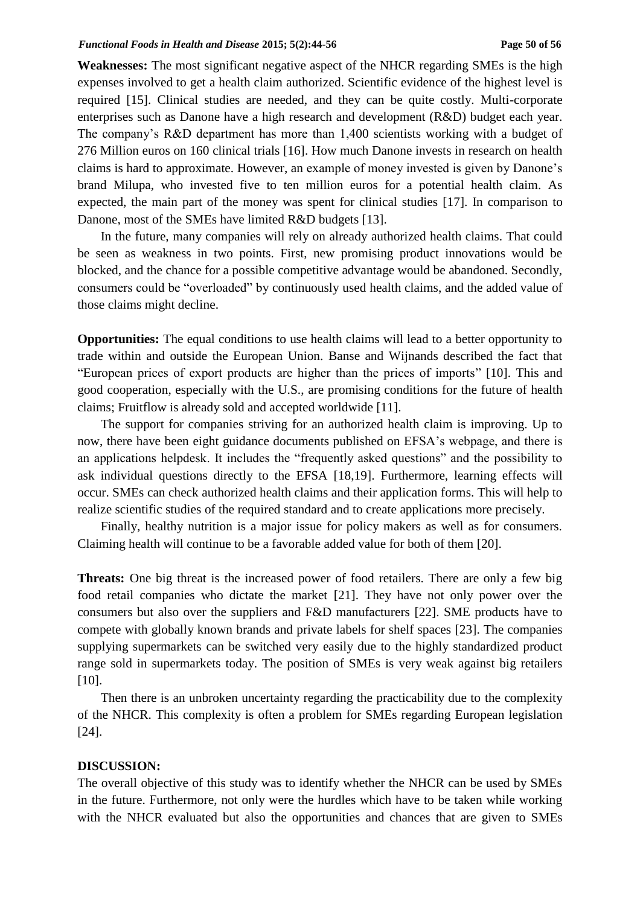**Weaknesses:** The most significant negative aspect of the NHCR regarding SMEs is the high expenses involved to get a health claim authorized. Scientific evidence of the highest level is required [15]. Clinical studies are needed, and they can be quite costly. Multi-corporate enterprises such as Danone have a high research and development (R&D) budget each year. The company's R&D department has more than 1,400 scientists working with a budget of 276 Million euros on 160 clinical trials [16]. How much Danone invests in research on health claims is hard to approximate. However, an example of money invested is given by Danone's brand Milupa, who invested five to ten million euros for a potential health claim. As expected, the main part of the money was spent for clinical studies [17]. In comparison to Danone, most of the SMEs have limited R&D budgets [13].

In the future, many companies will rely on already authorized health claims. That could be seen as weakness in two points. First, new promising product innovations would be blocked, and the chance for a possible competitive advantage would be abandoned. Secondly, consumers could be "overloaded" by continuously used health claims, and the added value of those claims might decline.

**Opportunities:** The equal conditions to use health claims will lead to a better opportunity to trade within and outside the European Union. Banse and Wijnands described the fact that "European prices of export products are higher than the prices of imports" [10]. This and good cooperation, especially with the U.S., are promising conditions for the future of health claims; Fruitflow is already sold and accepted worldwide [11].

The support for companies striving for an authorized health claim is improving. Up to now, there have been eight guidance documents published on EFSA's webpage, and there is an applications helpdesk. It includes the "frequently asked questions" and the possibility to ask individual questions directly to the EFSA [18,19]. Furthermore, learning effects will occur. SMEs can check authorized health claims and their application forms. This will help to realize scientific studies of the required standard and to create applications more precisely.

Finally, healthy nutrition is a major issue for policy makers as well as for consumers. Claiming health will continue to be a favorable added value for both of them [20].

**Threats:** One big threat is the increased power of food retailers. There are only a few big food retail companies who dictate the market [21]. They have not only power over the consumers but also over the suppliers and F&D manufacturers [22]. SME products have to compete with globally known brands and private labels for shelf spaces [23]. The companies supplying supermarkets can be switched very easily due to the highly standardized product range sold in supermarkets today. The position of SMEs is very weak against big retailers [10].

Then there is an unbroken uncertainty regarding the practicability due to the complexity of the NHCR. This complexity is often a problem for SMEs regarding European legislation [24].

### **DISCUSSION:**

The overall objective of this study was to identify whether the NHCR can be used by SMEs in the future. Furthermore, not only were the hurdles which have to be taken while working with the NHCR evaluated but also the opportunities and chances that are given to SMEs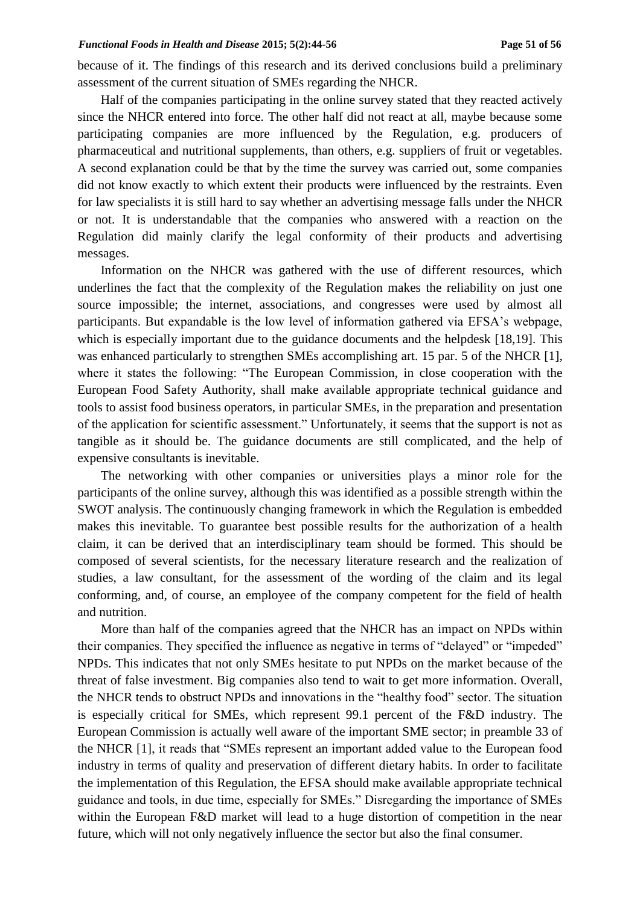because of it. The findings of this research and its derived conclusions build a preliminary assessment of the current situation of SMEs regarding the NHCR.

Half of the companies participating in the online survey stated that they reacted actively since the NHCR entered into force. The other half did not react at all, maybe because some participating companies are more influenced by the Regulation, e.g. producers of pharmaceutical and nutritional supplements, than others, e.g. suppliers of fruit or vegetables. A second explanation could be that by the time the survey was carried out, some companies did not know exactly to which extent their products were influenced by the restraints. Even for law specialists it is still hard to say whether an advertising message falls under the NHCR or not. It is understandable that the companies who answered with a reaction on the Regulation did mainly clarify the legal conformity of their products and advertising messages.

Information on the NHCR was gathered with the use of different resources, which underlines the fact that the complexity of the Regulation makes the reliability on just one source impossible; the internet, associations, and congresses were used by almost all participants. But expandable is the low level of information gathered via EFSA's webpage, which is especially important due to the guidance documents and the helpdesk [18,19]. This was enhanced particularly to strengthen SMEs accomplishing art. 15 par. 5 of the NHCR [1], where it states the following: "The European Commission, in close cooperation with the European Food Safety Authority, shall make available appropriate technical guidance and tools to assist food business operators, in particular SMEs, in the preparation and presentation of the application for scientific assessment." Unfortunately, it seems that the support is not as tangible as it should be. The guidance documents are still complicated, and the help of expensive consultants is inevitable.

The networking with other companies or universities plays a minor role for the participants of the online survey, although this was identified as a possible strength within the SWOT analysis. The continuously changing framework in which the Regulation is embedded makes this inevitable. To guarantee best possible results for the authorization of a health claim, it can be derived that an interdisciplinary team should be formed. This should be composed of several scientists, for the necessary literature research and the realization of studies, a law consultant, for the assessment of the wording of the claim and its legal conforming, and, of course, an employee of the company competent for the field of health and nutrition.

More than half of the companies agreed that the NHCR has an impact on NPDs within their companies. They specified the influence as negative in terms of "delayed" or "impeded" NPDs. This indicates that not only SMEs hesitate to put NPDs on the market because of the threat of false investment. Big companies also tend to wait to get more information. Overall, the NHCR tends to obstruct NPDs and innovations in the "healthy food" sector. The situation is especially critical for SMEs, which represent 99.1 percent of the F&D industry. The European Commission is actually well aware of the important SME sector; in preamble 33 of the NHCR [1], it reads that "SMEs represent an important added value to the European food industry in terms of quality and preservation of different dietary habits. In order to facilitate the implementation of this Regulation, the EFSA should make available appropriate technical guidance and tools, in due time, especially for SMEs." Disregarding the importance of SMEs within the European F&D market will lead to a huge distortion of competition in the near future, which will not only negatively influence the sector but also the final consumer.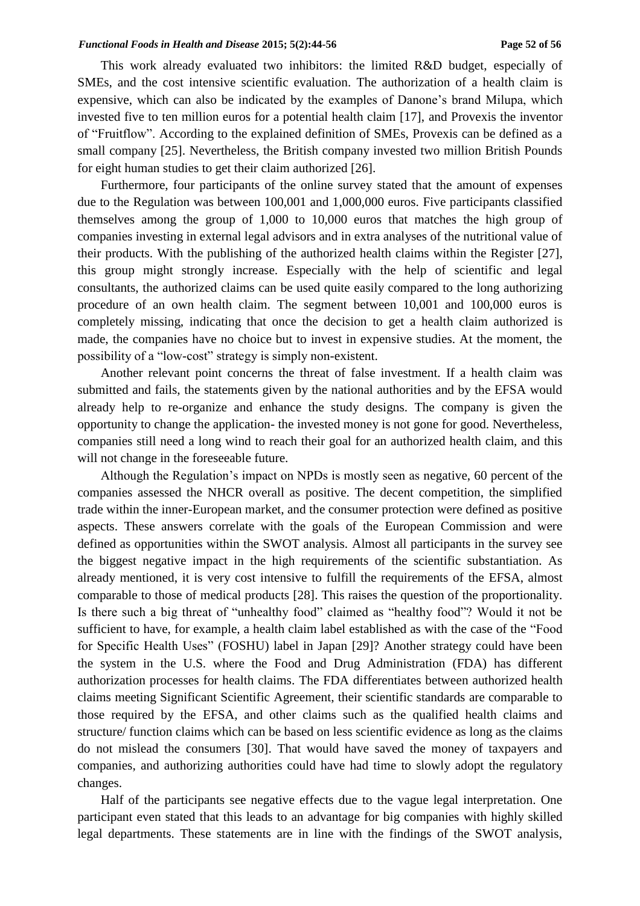#### *Functional Foods in Health and Disease 2015; 5(2):44-56* Page 52 of 56

This work already evaluated two inhibitors: the limited R&D budget, especially of SMEs, and the cost intensive scientific evaluation. The authorization of a health claim is expensive, which can also be indicated by the examples of Danone's brand Milupa, which invested five to ten million euros for a potential health claim [17], and Provexis the inventor of "Fruitflow". According to the explained definition of SMEs, Provexis can be defined as a small company [25]. Nevertheless, the British company invested two million British Pounds for eight human studies to get their claim authorized [26].

Furthermore, four participants of the online survey stated that the amount of expenses due to the Regulation was between 100,001 and 1,000,000 euros. Five participants classified themselves among the group of 1,000 to 10,000 euros that matches the high group of companies investing in external legal advisors and in extra analyses of the nutritional value of their products. With the publishing of the authorized health claims within the Register [27], this group might strongly increase. Especially with the help of scientific and legal consultants, the authorized claims can be used quite easily compared to the long authorizing procedure of an own health claim. The segment between 10,001 and 100,000 euros is completely missing, indicating that once the decision to get a health claim authorized is made, the companies have no choice but to invest in expensive studies. At the moment, the possibility of a "low-cost" strategy is simply non-existent.

Another relevant point concerns the threat of false investment. If a health claim was submitted and fails, the statements given by the national authorities and by the EFSA would already help to re-organize and enhance the study designs. The company is given the opportunity to change the application- the invested money is not gone for good. Nevertheless, companies still need a long wind to reach their goal for an authorized health claim, and this will not change in the foreseeable future.

Although the Regulation's impact on NPDs is mostly seen as negative, 60 percent of the companies assessed the NHCR overall as positive. The decent competition, the simplified trade within the inner-European market, and the consumer protection were defined as positive aspects. These answers correlate with the goals of the European Commission and were defined as opportunities within the SWOT analysis. Almost all participants in the survey see the biggest negative impact in the high requirements of the scientific substantiation. As already mentioned, it is very cost intensive to fulfill the requirements of the EFSA, almost comparable to those of medical products [28]. This raises the question of the proportionality. Is there such a big threat of "unhealthy food" claimed as "healthy food"? Would it not be sufficient to have, for example, a health claim label established as with the case of the "Food for Specific Health Uses" (FOSHU) label in Japan [29]? Another strategy could have been the system in the U.S. where the Food and Drug Administration (FDA) has different authorization processes for health claims. The FDA differentiates between authorized health claims meeting Significant Scientific Agreement, their scientific standards are comparable to those required by the EFSA, and other claims such as the qualified health claims and structure/ function claims which can be based on less scientific evidence as long as the claims do not mislead the consumers [30]. That would have saved the money of taxpayers and companies, and authorizing authorities could have had time to slowly adopt the regulatory changes.

Half of the participants see negative effects due to the vague legal interpretation. One participant even stated that this leads to an advantage for big companies with highly skilled legal departments. These statements are in line with the findings of the SWOT analysis,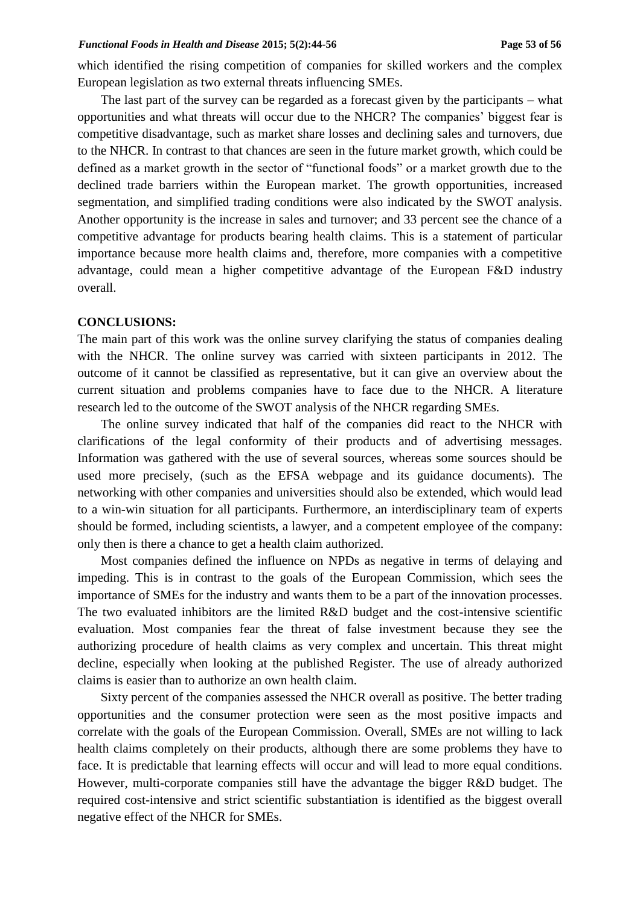which identified the rising competition of companies for skilled workers and the complex European legislation as two external threats influencing SMEs.

The last part of the survey can be regarded as a forecast given by the participants – what opportunities and what threats will occur due to the NHCR? The companies' biggest fear is competitive disadvantage, such as market share losses and declining sales and turnovers, due to the NHCR. In contrast to that chances are seen in the future market growth, which could be defined as a market growth in the sector of "functional foods" or a market growth due to the declined trade barriers within the European market. The growth opportunities, increased segmentation, and simplified trading conditions were also indicated by the SWOT analysis. Another opportunity is the increase in sales and turnover; and 33 percent see the chance of a competitive advantage for products bearing health claims. This is a statement of particular importance because more health claims and, therefore, more companies with a competitive advantage, could mean a higher competitive advantage of the European F&D industry overall.

## **CONCLUSIONS:**

The main part of this work was the online survey clarifying the status of companies dealing with the NHCR. The online survey was carried with sixteen participants in 2012. The outcome of it cannot be classified as representative, but it can give an overview about the current situation and problems companies have to face due to the NHCR. A literature research led to the outcome of the SWOT analysis of the NHCR regarding SMEs.

The online survey indicated that half of the companies did react to the NHCR with clarifications of the legal conformity of their products and of advertising messages. Information was gathered with the use of several sources, whereas some sources should be used more precisely, (such as the EFSA webpage and its guidance documents). The networking with other companies and universities should also be extended, which would lead to a win-win situation for all participants. Furthermore, an interdisciplinary team of experts should be formed, including scientists, a lawyer, and a competent employee of the company: only then is there a chance to get a health claim authorized.

Most companies defined the influence on NPDs as negative in terms of delaying and impeding. This is in contrast to the goals of the European Commission, which sees the importance of SMEs for the industry and wants them to be a part of the innovation processes. The two evaluated inhibitors are the limited R&D budget and the cost-intensive scientific evaluation. Most companies fear the threat of false investment because they see the authorizing procedure of health claims as very complex and uncertain. This threat might decline, especially when looking at the published Register. The use of already authorized claims is easier than to authorize an own health claim.

Sixty percent of the companies assessed the NHCR overall as positive. The better trading opportunities and the consumer protection were seen as the most positive impacts and correlate with the goals of the European Commission. Overall, SMEs are not willing to lack health claims completely on their products, although there are some problems they have to face. It is predictable that learning effects will occur and will lead to more equal conditions. However, multi-corporate companies still have the advantage the bigger R&D budget. The required cost-intensive and strict scientific substantiation is identified as the biggest overall negative effect of the NHCR for SMEs.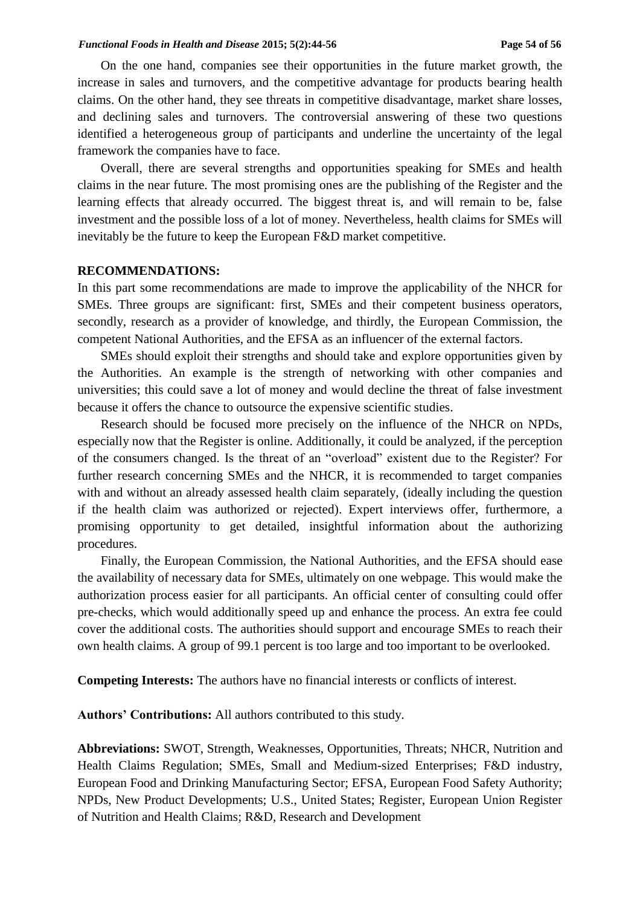#### *Functional Foods in Health and Disease 2015; 5(2):44-56* Page 54 of 56

On the one hand, companies see their opportunities in the future market growth, the increase in sales and turnovers, and the competitive advantage for products bearing health claims. On the other hand, they see threats in competitive disadvantage, market share losses, and declining sales and turnovers. The controversial answering of these two questions identified a heterogeneous group of participants and underline the uncertainty of the legal framework the companies have to face.

Overall, there are several strengths and opportunities speaking for SMEs and health claims in the near future. The most promising ones are the publishing of the Register and the learning effects that already occurred. The biggest threat is, and will remain to be, false investment and the possible loss of a lot of money. Nevertheless, health claims for SMEs will inevitably be the future to keep the European F&D market competitive.

### **RECOMMENDATIONS:**

In this part some recommendations are made to improve the applicability of the NHCR for SMEs. Three groups are significant: first, SMEs and their competent business operators, secondly, research as a provider of knowledge, and thirdly, the European Commission, the competent National Authorities, and the EFSA as an influencer of the external factors.

SMEs should exploit their strengths and should take and explore opportunities given by the Authorities. An example is the strength of networking with other companies and universities; this could save a lot of money and would decline the threat of false investment because it offers the chance to outsource the expensive scientific studies.

Research should be focused more precisely on the influence of the NHCR on NPDs, especially now that the Register is online. Additionally, it could be analyzed, if the perception of the consumers changed. Is the threat of an "overload" existent due to the Register? For further research concerning SMEs and the NHCR, it is recommended to target companies with and without an already assessed health claim separately, (ideally including the question if the health claim was authorized or rejected). Expert interviews offer, furthermore, a promising opportunity to get detailed, insightful information about the authorizing procedures.

Finally, the European Commission, the National Authorities, and the EFSA should ease the availability of necessary data for SMEs, ultimately on one webpage. This would make the authorization process easier for all participants. An official center of consulting could offer pre-checks, which would additionally speed up and enhance the process. An extra fee could cover the additional costs. The authorities should support and encourage SMEs to reach their own health claims. A group of 99.1 percent is too large and too important to be overlooked.

**Competing Interests:** The authors have no financial interests or conflicts of interest.

**Authors' Contributions:** All authors contributed to this study.

**Abbreviations:** SWOT, Strength, Weaknesses, Opportunities, Threats; NHCR, Nutrition and Health Claims Regulation; SMEs, Small and Medium-sized Enterprises; F&D industry, European Food and Drinking Manufacturing Sector; EFSA, European Food Safety Authority; NPDs, New Product Developments; U.S., United States; Register, European Union Register of Nutrition and Health Claims; R&D, Research and Development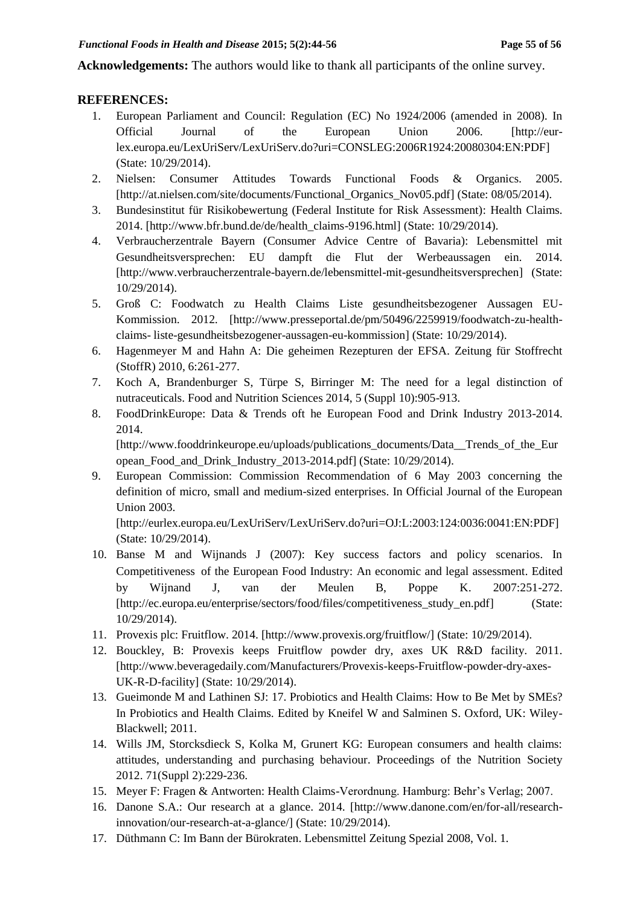**Acknowledgements:** The authors would like to thank all participants of the online survey.

# **REFERENCES:**

- 1. European Parliament and Council: Regulation (EC) No 1924/2006 (amended in 2008). In Official Journal of the European Union 2006. [http://eurlex.europa.eu/LexUriServ/LexUriServ.do?uri=CONSLEG:2006R1924:20080304:EN:PDF] (State: 10/29/2014).
- 2. Nielsen: Consumer Attitudes Towards Functional Foods & Organics. 2005. [http://at.nielsen.com/site/documents/Functional\_Organics\_Nov05.pdf] (State: 08/05/2014).
- 3. Bundesinstitut für Risikobewertung (Federal Institute for Risk Assessment): Health Claims. 2014. [http://www.bfr.bund.de/de/health\_claims-9196.html] (State: 10/29/2014).
- 4. Verbraucherzentrale Bayern (Consumer Advice Centre of Bavaria): Lebensmittel mit Gesundheitsversprechen: EU dampft die Flut der Werbeaussagen ein. 2014. [http://www.verbraucherzentrale-bayern.de/lebensmittel-mit-gesundheitsversprechen] (State: 10/29/2014).
- 5. Groß C: Foodwatch zu Health Claims Liste gesundheitsbezogener Aussagen EU-Kommission. 2012. [http://www.presseportal.de/pm/50496/2259919/foodwatch-zu-healthclaims- liste-gesundheitsbezogener-aussagen-eu-kommission] (State: 10/29/2014).
- 6. Hagenmeyer M and Hahn A: Die geheimen Rezepturen der EFSA. Zeitung für Stoffrecht (StoffR) 2010, 6:261-277.
- 7. Koch A, Brandenburger S, Türpe S, Birringer M: The need for a legal distinction of nutraceuticals. Food and Nutrition Sciences 2014, 5 (Suppl 10):905-913.
- 8. FoodDrinkEurope: Data & Trends oft he European Food and Drink Industry 2013-2014. 2014.

[http://www.fooddrinkeurope.eu/uploads/publications\_documents/Data\_\_Trends\_of\_the\_Eur opean\_Food\_and\_Drink\_Industry\_2013-2014.pdf] (State: 10/29/2014).

9. European Commission: Commission Recommendation of 6 May 2003 concerning the definition of micro, small and medium-sized enterprises. In Official Journal of the European Union 2003.

[http://eurlex.europa.eu/LexUriServ/LexUriServ.do?uri=OJ:L:2003:124:0036:0041:EN:PDF] (State: 10/29/2014).

- 10. Banse M and Wijnands J (2007): Key success factors and policy scenarios. In Competitiveness of the European Food Industry: An economic and legal assessment. Edited by Wijnand J, van der Meulen B, Poppe K. 2007:251-272. [http://ec.europa.eu/enterprise/sectors/food/files/competitiveness\_study\_en.pdf] (State: 10/29/2014).
- 11. Provexis plc: Fruitflow. 2014. [http://www.provexis.org/fruitflow/] (State: 10/29/2014).
- 12. Bouckley, B: Provexis keeps Fruitflow powder dry, axes UK R&D facility. 2011. [http://www.beveragedaily.com/Manufacturers/Provexis-keeps-Fruitflow-powder-dry-axes-UK-R-D-facility] (State: 10/29/2014).
- 13. Gueimonde M and Lathinen SJ: 17. Probiotics and Health Claims: How to Be Met by SMEs? In Probiotics and Health Claims. Edited by Kneifel W and Salminen S. Oxford, UK: Wiley-Blackwell; 2011.
- 14. Wills JM, Storcksdieck S, Kolka M, Grunert KG: European consumers and health claims: attitudes, understanding and purchasing behaviour. Proceedings of the Nutrition Society 2012. 71(Suppl 2):229-236.
- 15. Meyer F: Fragen & Antworten: Health Claims-Verordnung. Hamburg: Behr's Verlag; 2007.
- 16. Danone S.A.: Our research at a glance. 2014. [http://www.danone.com/en/for-all/researchinnovation/our-research-at-a-glance/] (State: 10/29/2014).
- 17. Düthmann C: Im Bann der Bürokraten. Lebensmittel Zeitung Spezial 2008, Vol. 1.